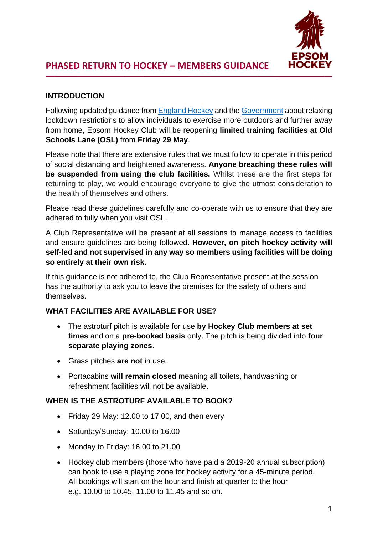

## **INTRODUCTION**

Following updated guidance from [England Hockey](http://www.englandhockey.co.uk/core/core_picker/download.asp?documenttable=libraryfiles&id=20616) and the [Government](https://www.gov.uk/government/publications/coronavirus-covid-19-guidance-on-phased-return-of-sport-and-recreation) about relaxing lockdown restrictions to allow individuals to exercise more outdoors and further away from home, Epsom Hockey Club will be reopening **limited training facilities at Old Schools Lane (OSL)** from **Friday 29 May**.

Please note that there are extensive rules that we must follow to operate in this period of social distancing and heightened awareness. **Anyone breaching these rules will be suspended from using the club facilities.** Whilst these are the first steps for returning to play, we would encourage everyone to give the utmost consideration to the health of themselves and others.

Please read these guidelines carefully and co-operate with us to ensure that they are adhered to fully when you visit OSL.

A Club Representative will be present at all sessions to manage access to facilities and ensure guidelines are being followed. **However, on pitch hockey activity will self-led and not supervised in any way so members using facilities will be doing so entirely at their own risk.**

If this guidance is not adhered to, the Club Representative present at the session has the authority to ask you to leave the premises for the safety of others and themselves.

#### **WHAT FACILITIES ARE AVAILABLE FOR USE?**

- The astroturf pitch is available for use **by Hockey Club members at set times** and on a **pre-booked basis** only. The pitch is being divided into **four separate playing zones**.
- Grass pitches **are not** in use.
- Portacabins **will remain closed** meaning all toilets, handwashing or refreshment facilities will not be available.

#### **WHEN IS THE ASTROTURF AVAILABLE TO BOOK?**

- Friday 29 May: 12.00 to 17.00, and then every
- Saturday/Sunday: 10.00 to 16.00
- Monday to Friday: 16.00 to 21.00
- Hockey club members (those who have paid a 2019-20 annual subscription) can book to use a playing zone for hockey activity for a 45-minute period. All bookings will start on the hour and finish at quarter to the hour e.g. 10.00 to 10.45, 11.00 to 11.45 and so on.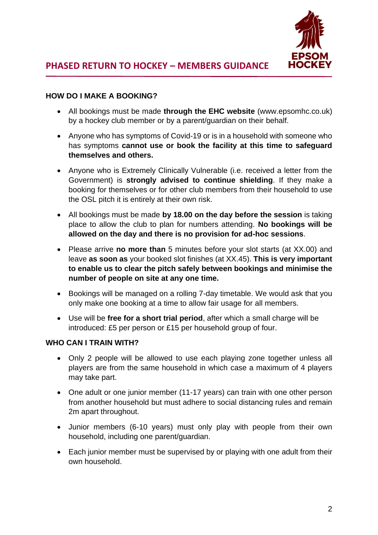

#### **HOW DO I MAKE A BOOKING?**

- All bookings must be made **through the EHC website** [\(www.epsomhc.co.uk\)](http://www.epsomhc.co.uk/) by a hockey club member or by a parent/guardian on their behalf.
- Anyone who has symptoms of Covid-19 or is in a household with someone who has symptoms **cannot use or book the facility at this time to safeguard themselves and others.**
- Anyone who is Extremely Clinically Vulnerable (i.e. received a letter from the Government) is **strongly advised to continue shielding**. If they make a booking for themselves or for other club members from their household to use the OSL pitch it is entirely at their own risk.
- All bookings must be made **by 18.00 on the day before the session** is taking place to allow the club to plan for numbers attending. **No bookings will be allowed on the day and there is no provision for ad-hoc sessions**.
- Please arrive **no more than** 5 minutes before your slot starts (at XX.00) and leave **as soon as** your booked slot finishes (at XX.45). **This is very important to enable us to clear the pitch safely between bookings and minimise the number of people on site at any one time.**
- Bookings will be managed on a rolling 7-day timetable. We would ask that you only make one booking at a time to allow fair usage for all members.
- Use will be **free for a short trial period**, after which a small charge will be introduced: £5 per person or £15 per household group of four.

#### **WHO CAN I TRAIN WITH?**

- Only 2 people will be allowed to use each playing zone together unless all players are from the same household in which case a maximum of 4 players may take part.
- One adult or one junior member (11-17 years) can train with one other person from another household but must adhere to social distancing rules and remain 2m apart throughout.
- Junior members (6-10 years) must only play with people from their own household, including one parent/guardian.
- Each junior member must be supervised by or playing with one adult from their own household.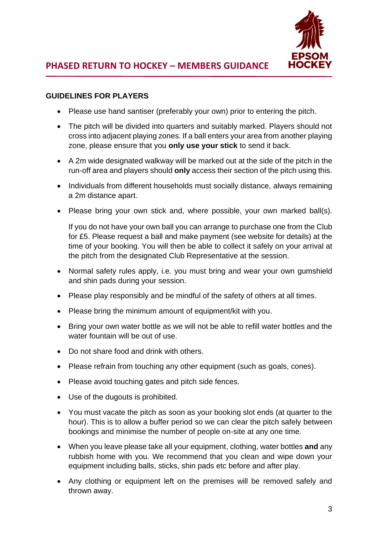

## **GUIDELINES FOR PLAYERS**

- Please use hand santiser (preferably your own) prior to entering the pitch.
- The pitch will be divided into quarters and suitably marked. Players should not cross into adjacent playing zones. If a ball enters your area from another playing zone, please ensure that you **only use your stick** to send it back.
- A 2m wide designated walkway will be marked out at the side of the pitch in the run-off area and players should **only** access their section of the pitch using this.
- Individuals from different households must socially distance, always remaining a 2m distance apart.
- Please bring your own stick and, where possible, your own marked ball(s).

If you do not have your own ball you can arrange to purchase one from the Club for £5. Please request a ball and make payment (see website for details) at the time of your booking. You will then be able to collect it safely on your arrival at the pitch from the designated Club Representative at the session.

- Normal safety rules apply, i.e. you must bring and wear your own gumshield and shin pads during your session.
- Please play responsibly and be mindful of the safety of others at all times.
- Please bring the minimum amount of equipment/kit with you.
- Bring your own water bottle as we will not be able to refill water bottles and the water fountain will be out of use.
- Do not share food and drink with others.
- Please refrain from touching any other equipment (such as goals, cones).
- Please avoid touching gates and pitch side fences.
- Use of the dugouts is prohibited.
- You must vacate the pitch as soon as your booking slot ends (at quarter to the hour). This is to allow a buffer period so we can clear the pitch safely between bookings and minimise the number of people on-site at any one time.
- When you leave please take all your equipment, clothing, water bottles **and** any rubbish home with you. We recommend that you clean and wipe down your equipment including balls, sticks, shin pads etc before and after play.
- Any clothing or equipment left on the premises will be removed safely and thrown away.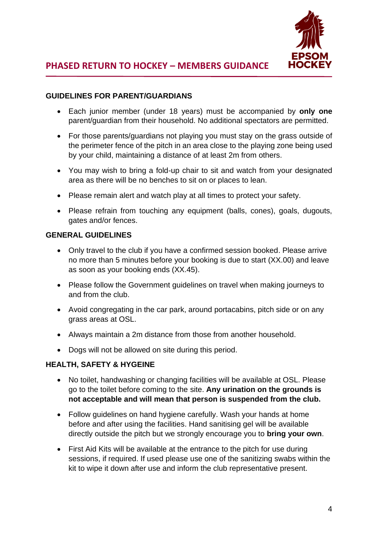

## **GUIDELINES FOR PARENT/GUARDIANS**

- Each junior member (under 18 years) must be accompanied by **only one** parent/guardian from their household. No additional spectators are permitted.
- For those parents/guardians not playing you must stay on the grass outside of the perimeter fence of the pitch in an area close to the playing zone being used by your child, maintaining a distance of at least 2m from others.
- You may wish to bring a fold-up chair to sit and watch from your designated area as there will be no benches to sit on or places to lean.
- Please remain alert and watch play at all times to protect your safety.
- Please refrain from touching any equipment (balls, cones), goals, dugouts, gates and/or fences.

## **GENERAL GUIDELINES**

- Only travel to the club if you have a confirmed session booked. Please arrive no more than 5 minutes before your booking is due to start (XX.00) and leave as soon as your booking ends (XX.45).
- Please follow the Government guidelines on travel when making journeys to and from the club.
- Avoid congregating in the car park, around portacabins, pitch side or on any grass areas at OSL.
- Always maintain a 2m distance from those from another household.
- Dogs will not be allowed on site during this period.

## **HEALTH, SAFETY & HYGEINE**

- No toilet, handwashing or changing facilities will be available at OSL. Please go to the toilet before coming to the site. **Any urination on the grounds is not acceptable and will mean that person is suspended from the club.**
- Follow guidelines on hand hygiene carefully. Wash your hands at home before and after using the facilities. Hand sanitising gel will be available directly outside the pitch but we strongly encourage you to **bring your own**.
- First Aid Kits will be available at the entrance to the pitch for use during sessions, if required. If used please use one of the sanitizing swabs within the kit to wipe it down after use and inform the club representative present.